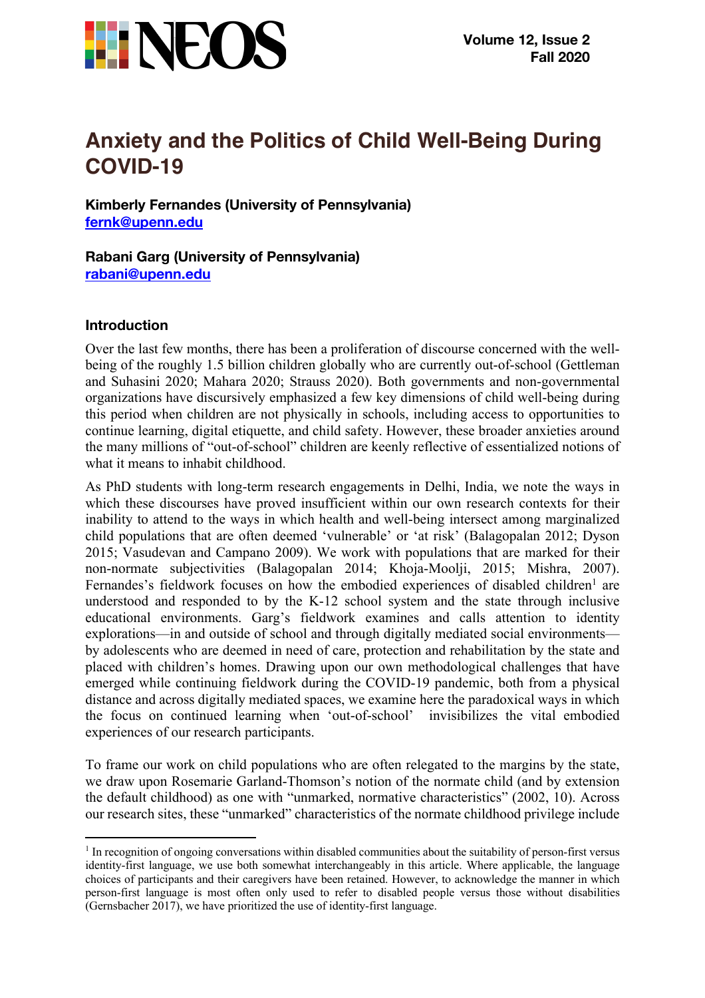

# **Anxiety and the Politics of Child Well-Being During COVID-19**

**Kimberly Fernandes (University of Pennsylvania) fernk@upenn.edu**

**Rabani Garg (University of Pennsylvania) rabani@upenn.edu**

### **Introduction**

Over the last few months, there has been a proliferation of discourse concerned with the wellbeing of the roughly 1.5 billion children globally who are currently out-of-school (Gettleman and Suhasini 2020; Mahara 2020; Strauss 2020). Both governments and non-governmental organizations have discursively emphasized a few key dimensions of child well-being during this period when children are not physically in schools, including access to opportunities to continue learning, digital etiquette, and child safety. However, these broader anxieties around the many millions of "out-of-school" children are keenly reflective of essentialized notions of what it means to inhabit childhood.

As PhD students with long-term research engagements in Delhi, India, we note the ways in which these discourses have proved insufficient within our own research contexts for their inability to attend to the ways in which health and well-being intersect among marginalized child populations that are often deemed 'vulnerable' or 'at risk' (Balagopalan 2012; Dyson 2015; Vasudevan and Campano 2009). We work with populations that are marked for their non-normate subjectivities (Balagopalan 2014; Khoja-Moolji, 2015; Mishra, 2007). Fernandes's fieldwork focuses on how the embodied experiences of disabled children<sup>1</sup> are understood and responded to by the K-12 school system and the state through inclusive educational environments. Garg's fieldwork examines and calls attention to identity explorations—in and outside of school and through digitally mediated social environments by adolescents who are deemed in need of care, protection and rehabilitation by the state and placed with children's homes. Drawing upon our own methodological challenges that have emerged while continuing fieldwork during the COVID-19 pandemic, both from a physical distance and across digitally mediated spaces, we examine here the paradoxical ways in which the focus on continued learning when 'out-of-school' invisibilizes the vital embodied experiences of our research participants.

To frame our work on child populations who are often relegated to the margins by the state, we draw upon Rosemarie Garland-Thomson's notion of the normate child (and by extension the default childhood) as one with "unmarked, normative characteristics" (2002, 10). Across our research sites, these "unmarked" characteristics of the normate childhood privilege include

 $<sup>1</sup>$  In recognition of ongoing conversations within disabled communities about the suitability of person-first versus</sup> identity-first language, we use both somewhat interchangeably in this article. Where applicable, the language choices of participants and their caregivers have been retained. However, to acknowledge the manner in which person-first language is most often only used to refer to disabled people versus those without disabilities (Gernsbacher 2017), we have prioritized the use of identity-first language.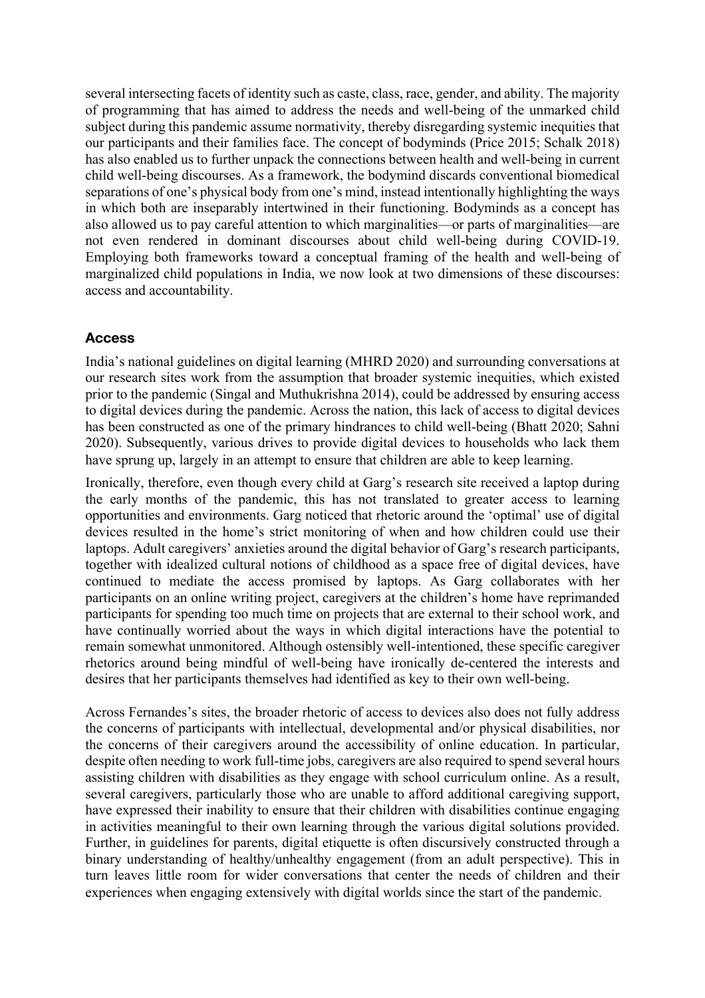several intersecting facets of identity such as caste, class, race, gender, and ability. The majority of programming that has aimed to address the needs and well-being of the unmarked child subject during this pandemic assume normativity, thereby disregarding systemic inequities that our participants and their families face. The concept of bodyminds (Price 2015; Schalk 2018) has also enabled us to further unpack the connections between health and well-being in current child well-being discourses. As a framework, the bodymind discards conventional biomedical separations of one's physical body from one's mind, instead intentionally highlighting the ways in which both are inseparably intertwined in their functioning. Bodyminds as a concept has also allowed us to pay careful attention to which marginalities—or parts of marginalities—are not even rendered in dominant discourses about child well-being during COVID-19. Employing both frameworks toward a conceptual framing of the health and well-being of marginalized child populations in India, we now look at two dimensions of these discourses: access and accountability.

#### **Access**

India's national guidelines on digital learning (MHRD 2020) and surrounding conversations at our research sites work from the assumption that broader systemic inequities, which existed prior to the pandemic (Singal and Muthukrishna 2014), could be addressed by ensuring access to digital devices during the pandemic. Across the nation, this lack of access to digital devices has been constructed as one of the primary hindrances to child well-being (Bhatt 2020; Sahni 2020). Subsequently, various drives to provide digital devices to households who lack them have sprung up, largely in an attempt to ensure that children are able to keep learning.

Ironically, therefore, even though every child at Garg's research site received a laptop during the early months of the pandemic, this has not translated to greater access to learning opportunities and environments. Garg noticed that rhetoric around the 'optimal' use of digital devices resulted in the home's strict monitoring of when and how children could use their laptops. Adult caregivers' anxieties around the digital behavior of Garg's research participants, together with idealized cultural notions of childhood as a space free of digital devices, have continued to mediate the access promised by laptops. As Garg collaborates with her participants on an online writing project, caregivers at the children's home have reprimanded participants for spending too much time on projects that are external to their school work, and have continually worried about the ways in which digital interactions have the potential to remain somewhat unmonitored. Although ostensibly well-intentioned, these specific caregiver rhetorics around being mindful of well-being have ironically de-centered the interests and desires that her participants themselves had identified as key to their own well-being.

Across Fernandes's sites, the broader rhetoric of access to devices also does not fully address the concerns of participants with intellectual, developmental and/or physical disabilities, nor the concerns of their caregivers around the accessibility of online education. In particular, despite often needing to work full-time jobs, caregivers are also required to spend several hours assisting children with disabilities as they engage with school curriculum online. As a result, several caregivers, particularly those who are unable to afford additional caregiving support, have expressed their inability to ensure that their children with disabilities continue engaging in activities meaningful to their own learning through the various digital solutions provided. Further, in guidelines for parents, digital etiquette is often discursively constructed through a binary understanding of healthy/unhealthy engagement (from an adult perspective). This in turn leaves little room for wider conversations that center the needs of children and their experiences when engaging extensively with digital worlds since the start of the pandemic.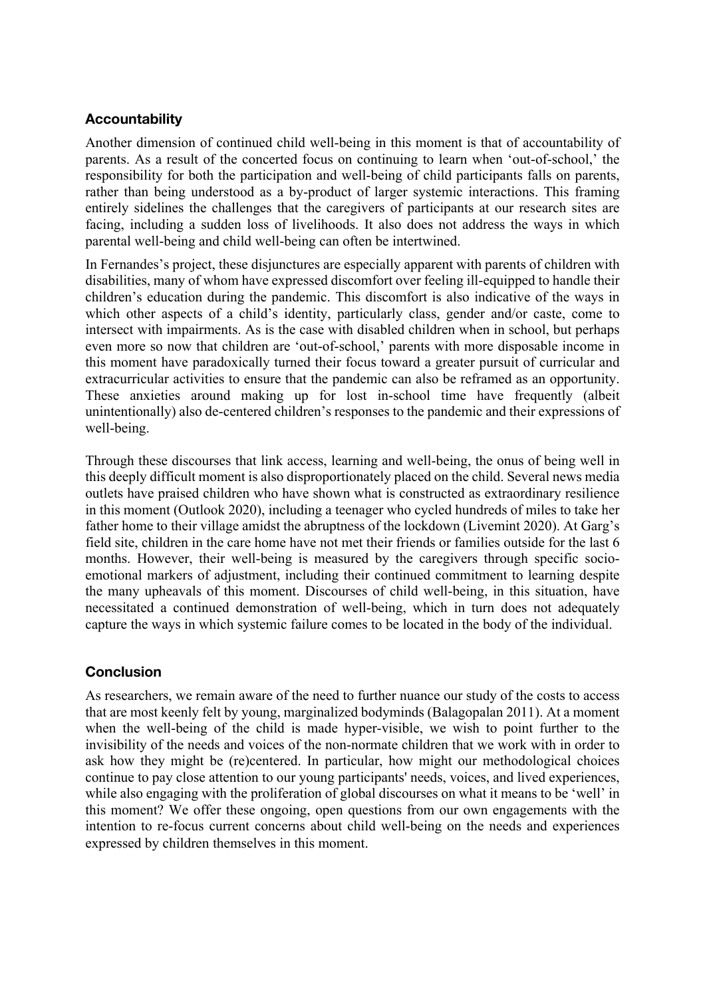## **Accountability**

Another dimension of continued child well-being in this moment is that of accountability of parents. As a result of the concerted focus on continuing to learn when 'out-of-school,' the responsibility for both the participation and well-being of child participants falls on parents, rather than being understood as a by-product of larger systemic interactions. This framing entirely sidelines the challenges that the caregivers of participants at our research sites are facing, including a sudden loss of livelihoods. It also does not address the ways in which parental well-being and child well-being can often be intertwined.

In Fernandes's project, these disjunctures are especially apparent with parents of children with disabilities, many of whom have expressed discomfort over feeling ill-equipped to handle their children's education during the pandemic. This discomfort is also indicative of the ways in which other aspects of a child's identity, particularly class, gender and/or caste, come to intersect with impairments. As is the case with disabled children when in school, but perhaps even more so now that children are 'out-of-school,' parents with more disposable income in this moment have paradoxically turned their focus toward a greater pursuit of curricular and extracurricular activities to ensure that the pandemic can also be reframed as an opportunity. These anxieties around making up for lost in-school time have frequently (albeit unintentionally) also de-centered children's responses to the pandemic and their expressions of well-being.

Through these discourses that link access, learning and well-being, the onus of being well in this deeply difficult moment is also disproportionately placed on the child. Several news media outlets have praised children who have shown what is constructed as extraordinary resilience in this moment (Outlook 2020), including a teenager who cycled hundreds of miles to take her father home to their village amidst the abruptness of the lockdown (Livemint 2020). At Garg's field site, children in the care home have not met their friends or families outside for the last 6 months. However, their well-being is measured by the caregivers through specific socioemotional markers of adjustment, including their continued commitment to learning despite the many upheavals of this moment. Discourses of child well-being, in this situation, have necessitated a continued demonstration of well-being, which in turn does not adequately capture the ways in which systemic failure comes to be located in the body of the individual.

### **Conclusion**

As researchers, we remain aware of the need to further nuance our study of the costs to access that are most keenly felt by young, marginalized bodyminds (Balagopalan 2011). At a moment when the well-being of the child is made hyper-visible, we wish to point further to the invisibility of the needs and voices of the non-normate children that we work with in order to ask how they might be (re)centered. In particular, how might our methodological choices continue to pay close attention to our young participants' needs, voices, and lived experiences, while also engaging with the proliferation of global discourses on what it means to be 'well' in this moment? We offer these ongoing, open questions from our own engagements with the intention to re-focus current concerns about child well-being on the needs and experiences expressed by children themselves in this moment.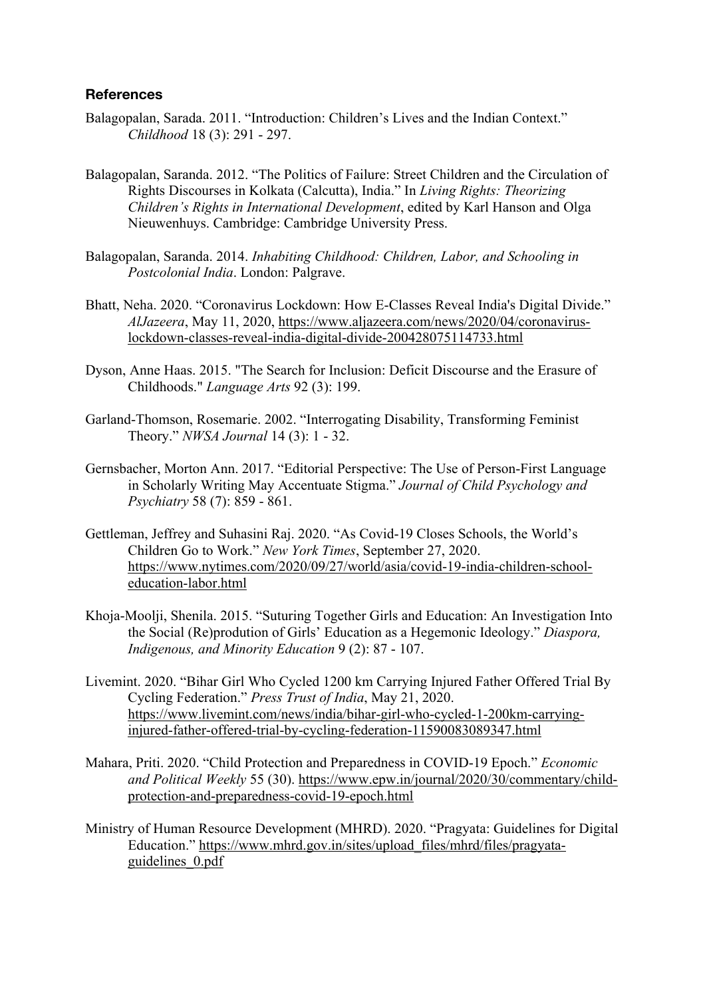#### **References**

- Balagopalan, Sarada. 2011. "Introduction: Children's Lives and the Indian Context." *Childhood* 18 (3): 291 - 297.
- Balagopalan, Saranda. 2012. "The Politics of Failure: Street Children and the Circulation of Rights Discourses in Kolkata (Calcutta), India." In *Living Rights: Theorizing Children's Rights in International Development*, edited by Karl Hanson and Olga Nieuwenhuys. Cambridge: Cambridge University Press.
- Balagopalan, Saranda. 2014. *Inhabiting Childhood: Children, Labor, and Schooling in Postcolonial India*. London: Palgrave.
- Bhatt, Neha. 2020. "Coronavirus Lockdown: How E-Classes Reveal India's Digital Divide." *AlJazeera*, May 11, 2020, https://www.aljazeera.com/news/2020/04/coronaviruslockdown-classes-reveal-india-digital-divide-200428075114733.html
- Dyson, Anne Haas. 2015. "The Search for Inclusion: Deficit Discourse and the Erasure of Childhoods." *Language Arts* 92 (3): 199.
- Garland-Thomson, Rosemarie. 2002. "Interrogating Disability, Transforming Feminist Theory." *NWSA Journal* 14 (3): 1 - 32.
- Gernsbacher, Morton Ann. 2017. "Editorial Perspective: The Use of Person-First Language in Scholarly Writing May Accentuate Stigma." *Journal of Child Psychology and Psychiatry* 58 (7): 859 - 861.
- Gettleman, Jeffrey and Suhasini Raj. 2020. "As Covid-19 Closes Schools, the World's Children Go to Work." *New York Times*, September 27, 2020. https://www.nytimes.com/2020/09/27/world/asia/covid-19-india-children-schooleducation-labor.html
- Khoja-Moolji, Shenila. 2015. "Suturing Together Girls and Education: An Investigation Into the Social (Re)prodution of Girls' Education as a Hegemonic Ideology." *Diaspora, Indigenous, and Minority Education* 9 (2): 87 - 107.
- Livemint. 2020. "Bihar Girl Who Cycled 1200 km Carrying Injured Father Offered Trial By Cycling Federation." *Press Trust of India*, May 21, 2020. https://www.livemint.com/news/india/bihar-girl-who-cycled-1-200km-carryinginjured-father-offered-trial-by-cycling-federation-11590083089347.html
- Mahara, Priti. 2020. "Child Protection and Preparedness in COVID-19 Epoch." *Economic and Political Weekly* 55 (30). https://www.epw.in/journal/2020/30/commentary/childprotection-and-preparedness-covid-19-epoch.html
- Ministry of Human Resource Development (MHRD). 2020. "Pragyata: Guidelines for Digital Education." https://www.mhrd.gov.in/sites/upload\_files/mhrd/files/pragyataguidelines\_0.pdf